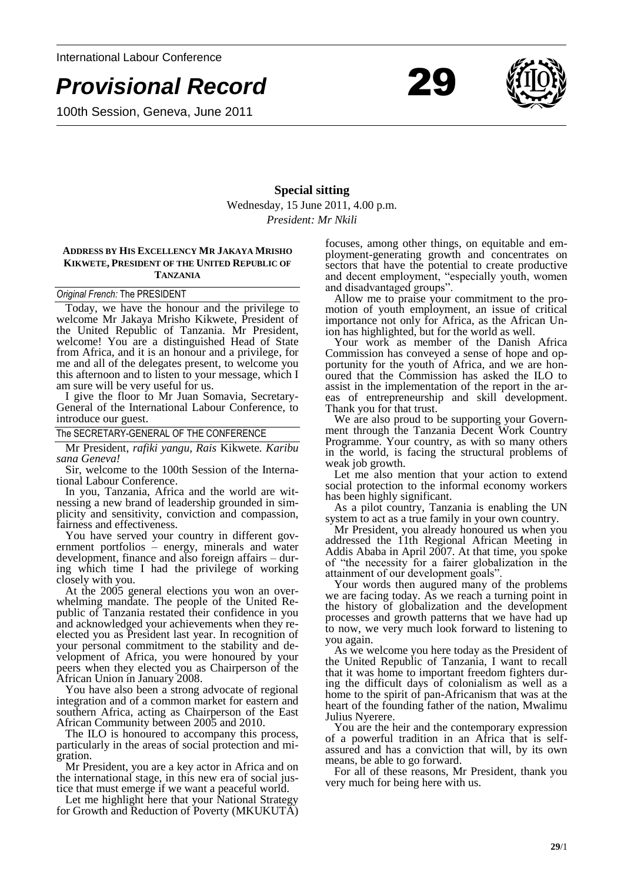

100th Session, Geneva, June 2011



# **Special sitting** Wednesday, 15 June 2011, 4.00 p.m. *President: Mr Nkili*

### **ADDRESS BY HIS EXCELLENCY MR JAKAYA MRISHO KIKWETE, PRESIDENT OF THE UNITED REPUBLIC OF TANZANIA**

#### *Original French:* The PRESIDENT

Today, we have the honour and the privilege to welcome Mr Jakaya Mrisho Kikwete, President of the United Republic of Tanzania. Mr President, welcome! You are a distinguished Head of State from Africa, and it is an honour and a privilege, for me and all of the delegates present, to welcome you this afternoon and to listen to your message, which I am sure will be very useful for us.

I give the floor to Mr Juan Somavia, Secretary-General of the International Labour Conference, to introduce our guest.

The SECRETARY-GENERAL OF THE CONFERENCE

Mr President, *rafiki yangu, Rais* Kikwete*. Karibu sana Geneva!*

Sir, welcome to the 100th Session of the International Labour Conference.

In you, Tanzania, Africa and the world are witnessing a new brand of leadership grounded in simplicity and sensitivity, conviction and compassion, fairness and effectiveness.

You have served your country in different government portfolios – energy, minerals and water development, finance and also foreign affairs – during which time I had the privilege of working closely with you.

At the 2005 general elections you won an overwhelming mandate. The people of the United Republic of Tanzania restated their confidence in you and acknowledged your achievements when they reelected you as President last year. In recognition of your personal commitment to the stability and development of Africa, you were honoured by your peers when they elected you as Chairperson of the African Union in January 2008.

You have also been a strong advocate of regional integration and of a common market for eastern and southern Africa, acting as Chairperson of the East African Community between 2005 and 2010.

The ILO is honoured to accompany this process, particularly in the areas of social protection and migration.

Mr President, you are a key actor in Africa and on the international stage, in this new era of social justice that must emerge if we want a peaceful world.

Let me highlight here that your National Strategy for Growth and Reduction of Poverty (MKUKUTA) focuses, among other things, on equitable and employment-generating growth and concentrates on sectors that have the potential to create productive and decent employment, "especially youth, women and disadvantaged groups".

Allow me to praise your commitment to the promotion of youth employment, an issue of critical importance not only for Africa, as the African Union has highlighted, but for the world as well.

Your work as member of the Danish Africa Commission has conveyed a sense of hope and opportunity for the youth of Africa, and we are honoured that the Commission has asked the ILO to assist in the implementation of the report in the areas of entrepreneurship and skill development. Thank you for that trust.

We are also proud to be supporting your Government through the Tanzania Decent Work Country Programme. Your country, as with so many others in the world, is facing the structural problems of weak job growth.

Let me also mention that your action to extend social protection to the informal economy workers has been highly significant.

As a pilot country, Tanzania is enabling the UN system to act as a true family in your own country.

Mr President, you already honoured us when you addressed the 11th Regional African Meeting in Addis Ababa in April 2007. At that time, you spoke of "the necessity for a fairer globalization in the attainment of our development goals".

Your words then augured many of the problems we are facing today. As we reach a turning point in the history of globalization and the development processes and growth patterns that we have had up to now, we very much look forward to listening to you again.

As we welcome you here today as the President of the United Republic of Tanzania, I want to recall that it was home to important freedom fighters during the difficult days of colonialism as well as a home to the spirit of pan-Africanism that was at the heart of the founding father of the nation, Mwalimu Julius Nyerere.

You are the heir and the contemporary expression of a powerful tradition in an Africa that is selfassured and has a conviction that will, by its own means, be able to go forward.

For all of these reasons, Mr President, thank you very much for being here with us.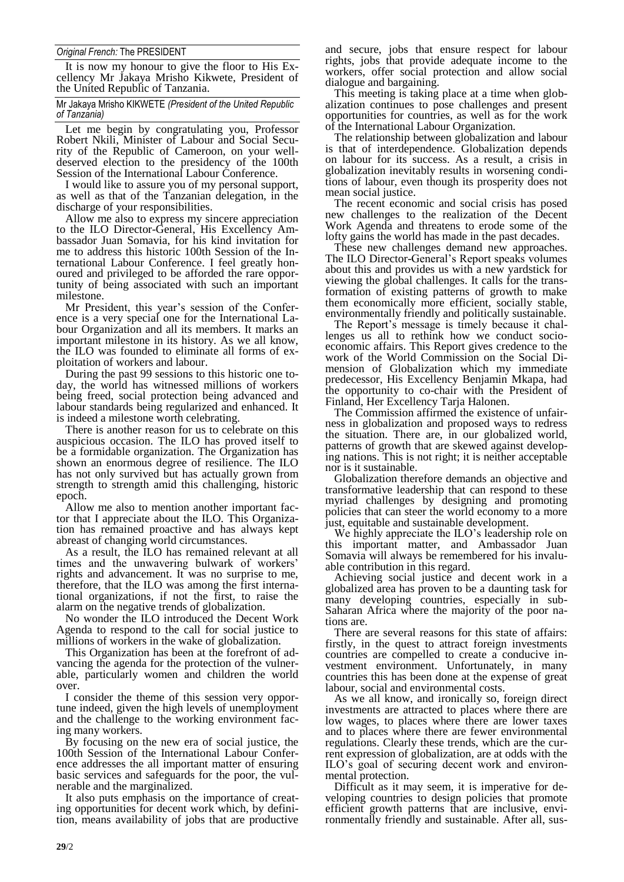## *Original French:* The PRESIDENT

It is now my honour to give the floor to His Excellency Mr Jakaya Mrisho Kikwete, President of the United Republic of Tanzania.

Mr Jakaya Mrisho KIKWETE *(President of the United Republic of Tanzania)*

Let me begin by congratulating you, Professor Robert Nkili, Minister of Labour and Social Security of the Republic of Cameroon, on your welldeserved election to the presidency of the 100th Session of the International Labour Conference.

I would like to assure you of my personal support, as well as that of the Tanzanian delegation, in the discharge of your responsibilities.

Allow me also to express my sincere appreciation to the ILO Director-General, His Excellency Ambassador Juan Somavia, for his kind invitation for me to address this historic 100th Session of the International Labour Conference. I feel greatly honoured and privileged to be afforded the rare opportunity of being associated with such an important milestone.

Mr President, this year's session of the Conference is a very special one for the International Labour Organization and all its members. It marks an important milestone in its history. As we all know, the ILO was founded to eliminate all forms of exploitation of workers and labour.

During the past 99 sessions to this historic one today, the world has witnessed millions of workers being freed, social protection being advanced and labour standards being regularized and enhanced. It is indeed a milestone worth celebrating.

There is another reason for us to celebrate on this auspicious occasion. The ILO has proved itself to be a formidable organization. The Organization has shown an enormous degree of resilience. The ILO has not only survived but has actually grown from strength to strength amid this challenging, historic epoch.

Allow me also to mention another important factor that I appreciate about the ILO. This Organization has remained proactive and has always kept abreast of changing world circumstances.

As a result, the ILO has remained relevant at all times and the unwavering bulwark of workers' rights and advancement. It was no surprise to me, therefore, that the ILO was among the first international organizations, if not the first, to raise the alarm on the negative trends of globalization.

No wonder the ILO introduced the Decent Work Agenda to respond to the call for social justice to millions of workers in the wake of globalization.

This Organization has been at the forefront of advancing the agenda for the protection of the vulnerable, particularly women and children the world over.

I consider the theme of this session very opportune indeed, given the high levels of unemployment and the challenge to the working environment facing many workers.

By focusing on the new era of social justice, the 100th Session of the International Labour Conference addresses the all important matter of ensuring basic services and safeguards for the poor, the vulnerable and the marginalized.

It also puts emphasis on the importance of creating opportunities for decent work which, by definition, means availability of jobs that are productive and secure, jobs that ensure respect for labour rights, jobs that provide adequate income to the workers, offer social protection and allow social dialogue and bargaining.

This meeting is taking place at a time when globalization continues to pose challenges and present opportunities for countries, as well as for the work of the International Labour Organization.

The relationship between globalization and labour is that of interdependence. Globalization depends on labour for its success. As a result, a crisis in globalization inevitably results in worsening conditions of labour, even though its prosperity does not mean social justice.

The recent economic and social crisis has posed new challenges to the realization of the Decent Work Agenda and threatens to erode some of the lofty gains the world has made in the past decades.

These new challenges demand new approaches. The ILO Director-General's Report speaks volumes about this and provides us with a new yardstick for viewing the global challenges. It calls for the transformation of existing patterns of growth to make them economically more efficient, socially stable, environmentally friendly and politically sustainable.

The Report's message is timely because it challenges us all to rethink how we conduct socioeconomic affairs. This Report gives credence to the work of the World Commission on the Social Dimension of Globalization which my immediate predecessor, His Excellency Benjamin Mkapa, had the opportunity to co-chair with the President of Finland, Her Excellency Tarja Halonen.

The Commission affirmed the existence of unfairness in globalization and proposed ways to redress the situation. There are, in our globalized world, patterns of growth that are skewed against developing nations. This is not right; it is neither acceptable nor is it sustainable.

Globalization therefore demands an objective and transformative leadership that can respond to these myriad challenges by designing and promoting policies that can steer the world economy to a more just, equitable and sustainable development.

We highly appreciate the ILO's leadership role on this important matter, and Ambassador Juan Somavia will always be remembered for his invaluable contribution in this regard.

Achieving social justice and decent work in a globalized area has proven to be a daunting task for many developing countries, especially in sub-Saharan Africa where the majority of the poor nations are.

There are several reasons for this state of affairs: firstly, in the quest to attract foreign investments countries are compelled to create a conducive investment environment. Unfortunately, in many countries this has been done at the expense of great labour, social and environmental costs.

As we all know, and ironically so, foreign direct investments are attracted to places where there are low wages, to places where there are lower taxes and to places where there are fewer environmental regulations. Clearly these trends, which are the current expression of globalization, are at odds with the ILO's goal of securing decent work and environmental protection.

Difficult as it may seem, it is imperative for developing countries to design policies that promote efficient growth patterns that are inclusive, environmentally friendly and sustainable. After all, sus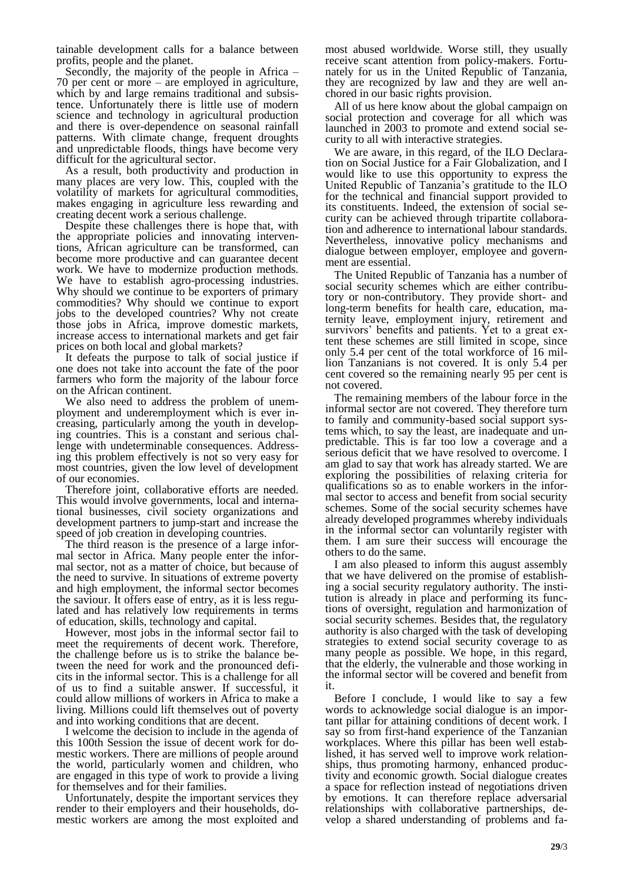tainable development calls for a balance between profits, people and the planet.

Secondly, the majority of the people in Africa – 70 per cent or more – are employed in agriculture, which by and large remains traditional and subsistence. Unfortunately there is little use of modern science and technology in agricultural production and there is over-dependence on seasonal rainfall patterns. With climate change, frequent droughts and unpredictable floods, things have become very difficult for the agricultural sector.

As a result, both productivity and production in many places are very low. This, coupled with the volatility of markets for agricultural commodities, makes engaging in agriculture less rewarding and creating decent work a serious challenge.

Despite these challenges there is hope that, with the appropriate policies and innovating interventions, African agriculture can be transformed, can become more productive and can guarantee decent work. We have to modernize production methods. We have to establish agro-processing industries. Why should we continue to be exporters of primary commodities? Why should we continue to export jobs to the developed countries? Why not create those jobs in Africa, improve domestic markets, increase access to international markets and get fair prices on both local and global markets?

It defeats the purpose to talk of social justice if one does not take into account the fate of the poor farmers who form the majority of the labour force on the African continent.

We also need to address the problem of unemployment and underemployment which is ever increasing, particularly among the youth in developing countries. This is a constant and serious challenge with undeterminable consequences. Addressing this problem effectively is not so very easy for most countries, given the low level of development of our economies.

Therefore joint, collaborative efforts are needed. This would involve governments, local and international businesses, civil society organizations and development partners to jump-start and increase the speed of job creation in developing countries.

The third reason is the presence of a large informal sector in Africa. Many people enter the informal sector, not as a matter of choice, but because of the need to survive. In situations of extreme poverty and high employment, the informal sector becomes the saviour. It offers ease of entry, as it is less regulated and has relatively low requirements in terms of education, skills, technology and capital.

However, most jobs in the informal sector fail to meet the requirements of decent work. Therefore, the challenge before us is to strike the balance between the need for work and the pronounced deficits in the informal sector. This is a challenge for all of us to find a suitable answer. If successful, it could allow millions of workers in Africa to make a living. Millions could lift themselves out of poverty and into working conditions that are decent.

I welcome the decision to include in the agenda of this 100th Session the issue of decent work for domestic workers. There are millions of people around the world, particularly women and children, who are engaged in this type of work to provide a living for themselves and for their families.

Unfortunately, despite the important services they render to their employers and their households, domestic workers are among the most exploited and most abused worldwide. Worse still, they usually receive scant attention from policy-makers. Fortunately for us in the United Republic of Tanzania, they are recognized by law and they are well anchored in our basic rights provision.

All of us here know about the global campaign on social protection and coverage for all which was launched in 2003 to promote and extend social security to all with interactive strategies.

We are aware, in this regard, of the ILO Declaration on Social Justice for a Fair Globalization, and I would like to use this opportunity to express the United Republic of Tanzania's gratitude to the ILO for the technical and financial support provided to its constituents. Indeed, the extension of social security can be achieved through tripartite collaboration and adherence to international labour standards. Nevertheless, innovative policy mechanisms and dialogue between employer, employee and government are essential.

The United Republic of Tanzania has a number of social security schemes which are either contributory or non-contributory. They provide short- and long-term benefits for health care, education, maternity leave, employment injury, retirement and survivors' benefits and patients. Yet to a great extent these schemes are still limited in scope, since only 5.4 per cent of the total workforce of 16 million Tanzanians is not covered. It is only 5.4 per cent covered so the remaining nearly 95 per cent is not covered.

The remaining members of the labour force in the informal sector are not covered. They therefore turn to family and community-based social support systems which, to say the least, are inadequate and unpredictable. This is far too low a coverage and a serious deficit that we have resolved to overcome. I am glad to say that work has already started. We are exploring the possibilities of relaxing criteria for qualifications so as to enable workers in the informal sector to access and benefit from social security schemes. Some of the social security schemes have already developed programmes whereby individuals in the informal sector can voluntarily register with them. I am sure their success will encourage the others to do the same.

I am also pleased to inform this august assembly that we have delivered on the promise of establishing a social security regulatory authority. The institution is already in place and performing its functions of oversight, regulation and harmonization of social security schemes. Besides that, the regulatory authority is also charged with the task of developing strategies to extend social security coverage to as many people as possible. We hope, in this regard, that the elderly, the vulnerable and those working in the informal sector will be covered and benefit from it.

Before I conclude, I would like to say a few words to acknowledge social dialogue is an important pillar for attaining conditions of decent work. I say so from first-hand experience of the Tanzanian workplaces. Where this pillar has been well established, it has served well to improve work relationships, thus promoting harmony, enhanced productivity and economic growth. Social dialogue creates a space for reflection instead of negotiations driven by emotions. It can therefore replace adversarial relationships with collaborative partnerships, develop a shared understanding of problems and fa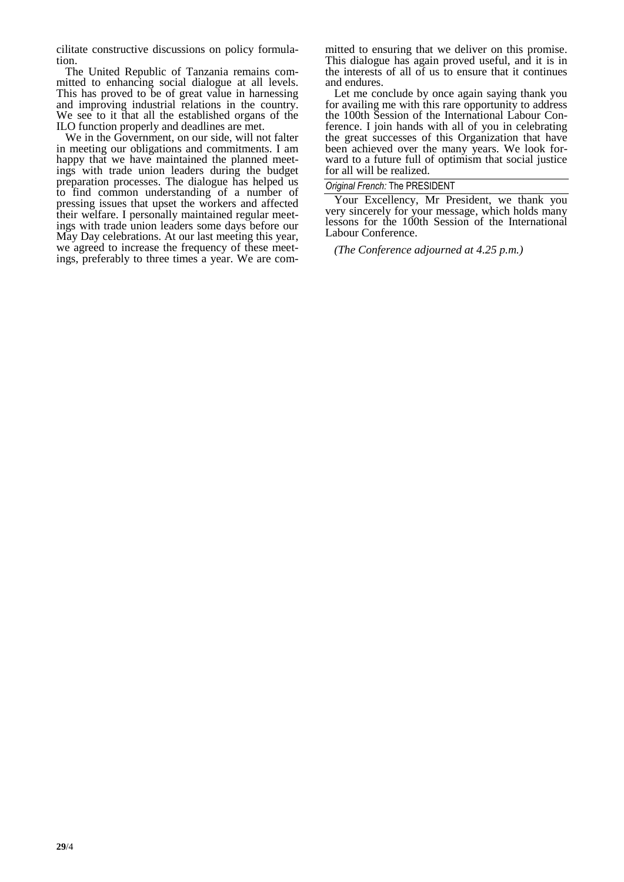cilitate constructive discussions on policy formulation.

The United Republic of Tanzania remains committed to enhancing social dialogue at all levels. This has proved to be of great value in harnessing and improving industrial relations in the country. We see to it that all the established organs of the ILO function properly and deadlines are met.

We in the Government, on our side, will not falter in meeting our obligations and commitments. I am happy that we have maintained the planned meetings with trade union leaders during the budget preparation processes. The dialogue has helped us to find common understanding of a number of pressing issues that upset the workers and affected their welfare. I personally maintained regular meetings with trade union leaders some days before our May Day celebrations. At our last meeting this year, we agreed to increase the frequency of these meetings, preferably to three times a year. We are committed to ensuring that we deliver on this promise. This dialogue has again proved useful, and it is in the interests of all of us to ensure that it continues and endures.

Let me conclude by once again saying thank you for availing me with this rare opportunity to address the 100th Session of the International Labour Conference. I join hands with all of you in celebrating the great successes of this Organization that have been achieved over the many years. We look forward to a future full of optimism that social justice for all will be realized.

#### *Original French:* The PRESIDENT

Your Excellency, Mr President, we thank you very sincerely for your message, which holds many lessons for the 100th Session of the International Labour Conference.

*(The Conference adjourned at 4.25 p.m.)*